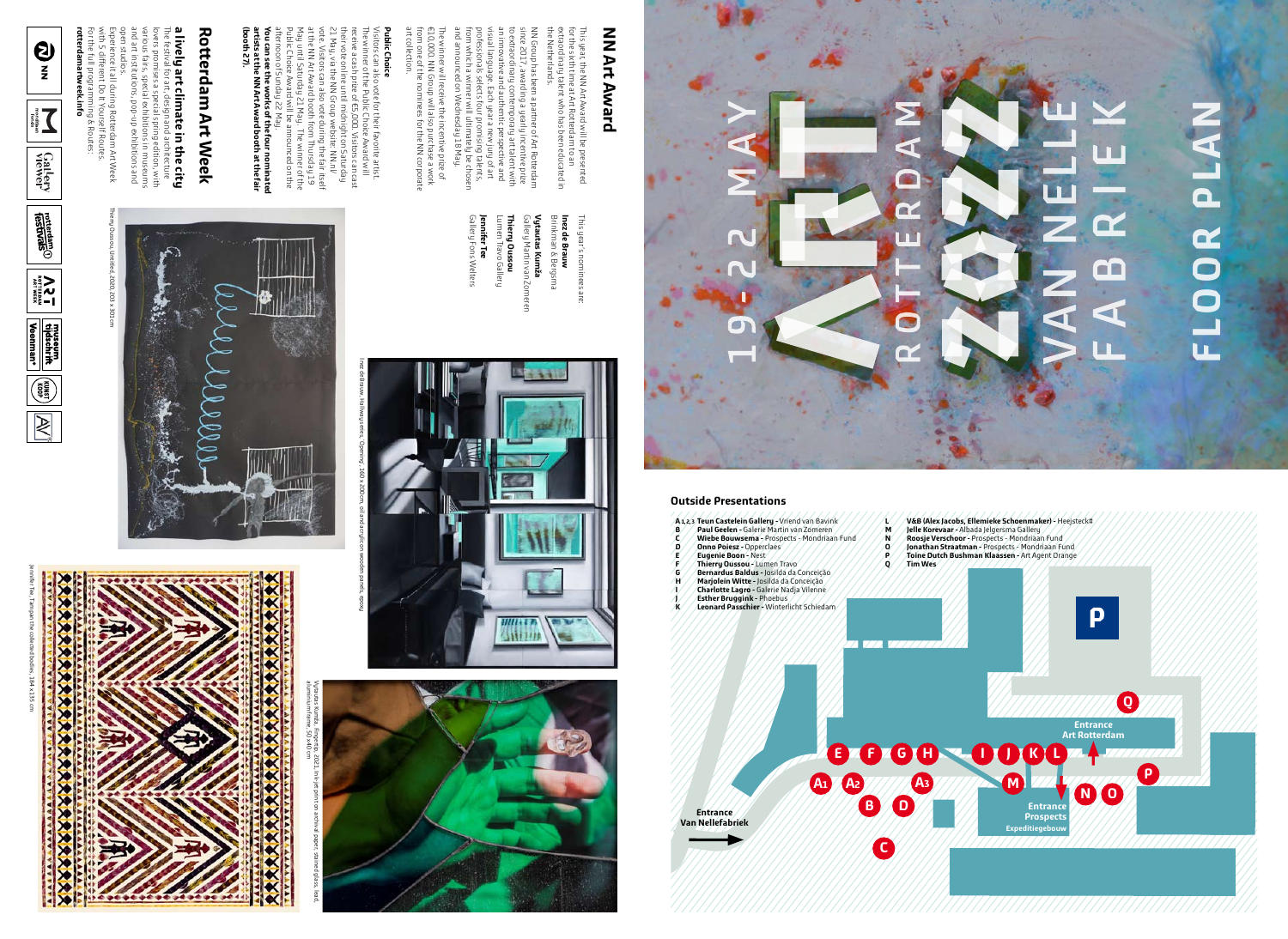



- **A 1, 2, 3 Teun Castelein Gallery** Vriend van Bavink
- **B** / **Paul Geelen** Galerie Martin van Zomeren
- 
- **E / / Eugenie Boon -** Nest
- **F Thierry Oussou** Lumen Travo
- 
- 
- 
- **K Leonard Passchier** Winterlicht Schiedam

# **Public Choice** Public Choice

The winner will receive the incentive prize of art collection. from one of the nominees for the NN corporate €10,000. NN Group will also purchase a work ,000. NN Group will also <sub>l</sub><br>h one of the nominees for **Ilection** will receive the incentive prize of<br>IN Group will also purchase a work<br>f the nominees for the NN corporate

# **Outside Presentations**

the Netherlands This year, the NN Art Award will be presented<br>for the sixth time at Art Rotterdam to an<br>extraordinary talent who has been educated in This year, the NN Art Award will be presented the Netherlands. extraordinary talent who has been educated in for the sixth time at Art Rotterdam to an

You can see the works of the four nominated<br>artists at the NN Art Award booth at the fair<br>(booth 27). **You can see the works of the four nominated**  vote. Visitors can also vote during the fair itself The winner of the Public Choice Award will Visitors can also vote for their favorite artist. **artists at the NN Art Award booth at the fair**  afternoon of Sunday 22 May. Public Choice Award will be announced on the May until Saturday 21 May. at the NN Art Award booth from Thursday 19 21 May, via the NN Group website: NN.nl/ their vote online until midnight on Saturday receive a cash prize of €5,000. Visitors can cast reir vote online until midnight on Saturday<br>1 May, via the NN Group website: NN.nl/<br>ote. Visitors can also vote during the fair itself<br>tthe NN Art Award booth from Thursday 19<br>day until Saturday 21 May. The winner of th lic Choice Award will be<br>moon of Sunday 22 Ma ors can also vote for their favorite artist.<br>winner of the Public Choice Award will<br>ive a cash prize of €5,000. Visitors can cast The winner of the

**rotterdamartweek.info** amartweek.info

 $\bigcirc$ 

 $\tilde{\mathbf{z}}$ 

Dentalianan<br>Dentalianan<br>Dentalianan

Gatlery

**GENTINED** 

For the full programming & Routes: with 5 different Do It Yourself Routes. Experience it all during Rotterdam Art Week open studios. studios different ice it all l during Rotterdam Art Week<br>: Do It Yourself Routes. J & Routes:

# Rotterdam Art Week **Rotterdam Art Week**

a lively art climate in the city<br>The festival for art, design and architecture various fairs, special exhibitions in museums The festival for art, design and architecture and art institutions, pop-up exhibitions and lovers promises a special spring edition, with **a lively art climate in the city** art institutions, pop-up exhibitions and promises a special spring edition, with<br>s fairs, special exhibitions in museum , with

# **NN Art Award NN Art Award**

Thierry Oussou, Untitled, 2020, 203 x 301 cm 203 x 301





**Jennifer Tee**<br>Gallery Fons Welters **Jennifer Tee** Gallery Fons Welters

Thierry Oussou<br>Lumen Travo Gallery **Thierry Oussou** Lumen Travo Gallery

**Inez de Brauw**<br>Brinkman & Bergs **Vytautas Kumža**<br>Gallery Martin van Zomeren **Vytautas Kumža** Gallery Martin van Zomeren Brinkman & Bergsma

# **(booth 27).**

Jennifer Tee, Tampan the collected bodies, 184 x 135 cm









**Inez de Brauw**

This year's nominees are:

This year's nominees

NN Group has been a partner of Art Rotterdam<br>since 2017, awarding a yearly incentive prize<br>to extraordinary contemporary art talent with<br>an innovative and authentic perspective and visual language. Each year a new jury of art and announced on Wednesday 18 May. from which a winner will ultimately be chosen professionals selects four promising talents, an innovative and authentic perspective and to extraordinary contemporary art talent with since 2017, awarding a yearly incentive prize NN Group has been a partner of Art Rotterdam i which a winner will ultimately be choser<br>announced on Wednesday 18 May. language. Each year a ne<br>sionals selects four prom a new jury of art<br><sup>.</sup>omising talents,